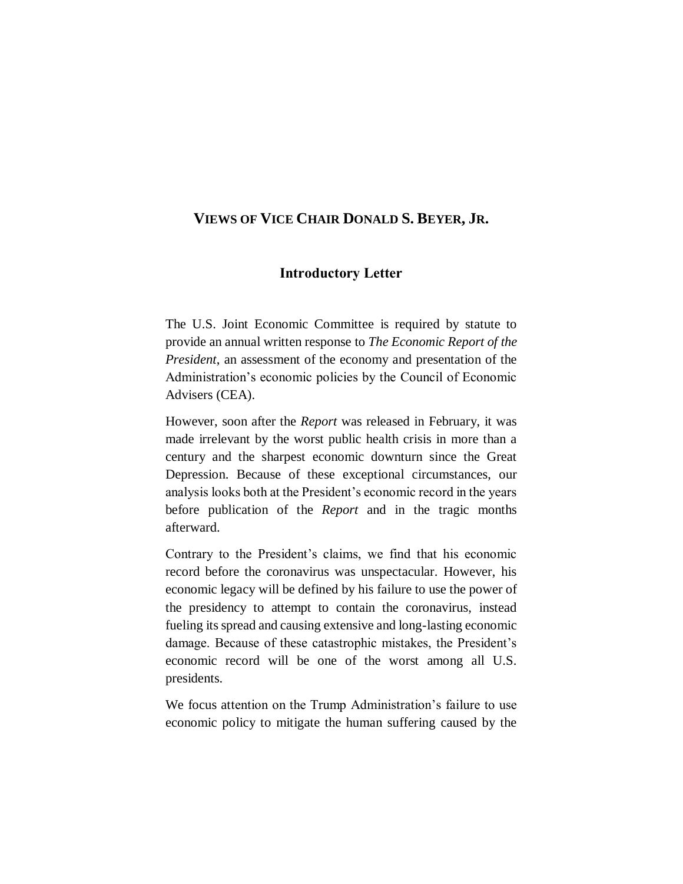## **VIEWS OF VICE CHAIR DONALD S. BEYER, JR.**

## **Introductory Letter**

The U.S. Joint Economic Committee is required by statute to provide an annual written response to *The Economic Report of the President*, an assessment of the economy and presentation of the Administration's economic policies by the Council of Economic Advisers (CEA).

However, soon after the *Report* was released in February, it was made irrelevant by the worst public health crisis in more than a century and the sharpest economic downturn since the Great Depression. Because of these exceptional circumstances, our analysis looks both at the President's economic record in the years before publication of the *Report* and in the tragic months afterward.

Contrary to the President's claims, we find that his economic record before the coronavirus was unspectacular. However, his economic legacy will be defined by his failure to use the power of the presidency to attempt to contain the coronavirus, instead fueling its spread and causing extensive and long-lasting economic damage. Because of these catastrophic mistakes, the President's economic record will be one of the worst among all U.S. presidents.

We focus attention on the Trump Administration's failure to use economic policy to mitigate the human suffering caused by the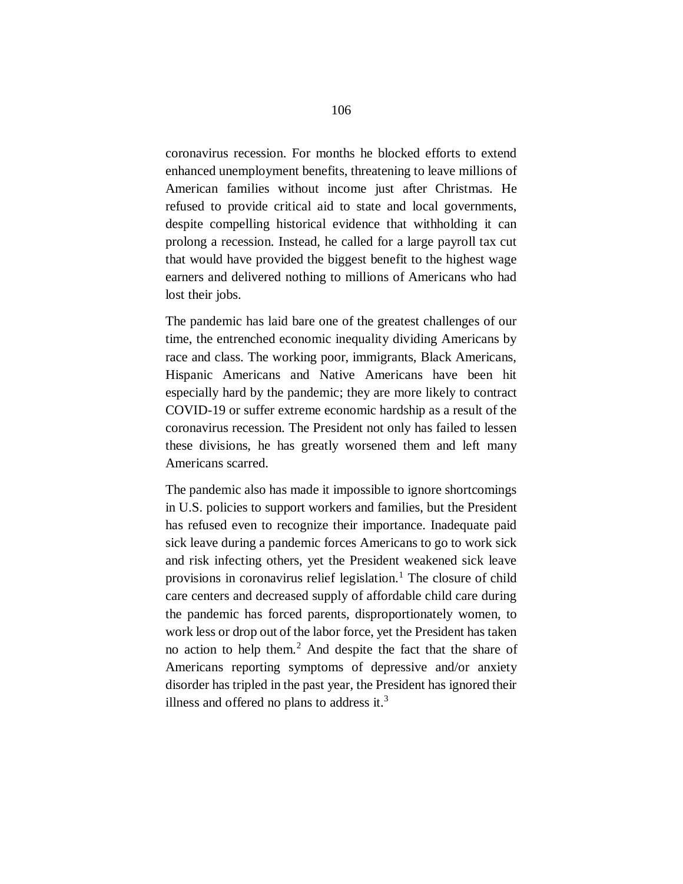coronavirus recession. For months he blocked efforts to extend enhanced unemployment benefits, threatening to leave millions of American families without income just after Christmas. He refused to provide critical aid to state and local governments, despite compelling historical evidence that withholding it can prolong a recession. Instead, he called for a large payroll tax cut that would have provided the biggest benefit to the highest wage earners and delivered nothing to millions of Americans who had lost their jobs.

The pandemic has laid bare one of the greatest challenges of our time, the entrenched economic inequality dividing Americans by race and class. The working poor, immigrants, Black Americans, Hispanic Americans and Native Americans have been hit especially hard by the pandemic; they are more likely to contract COVID-19 or suffer extreme economic hardship as a result of the coronavirus recession. The President not only has failed to lessen these divisions, he has greatly worsened them and left many Americans scarred.

The pandemic also has made it impossible to ignore shortcomings in U.S. policies to support workers and families, but the President has refused even to recognize their importance. Inadequate paid sick leave during a pandemic forces Americans to go to work sick and risk infecting others, yet the President weakened sick leave provisions in coronavirus relief legislation.<sup>1</sup> The closure of child care centers and decreased supply of affordable child care during the pandemic has forced parents, disproportionately women, to work less or drop out of the labor force, yet the President has taken no action to help them.<sup>2</sup> And despite the fact that the share of Americans reporting symptoms of depressive and/or anxiety disorder has tripled in the past year, the President has ignored their illness and offered no plans to address it.<sup>3</sup>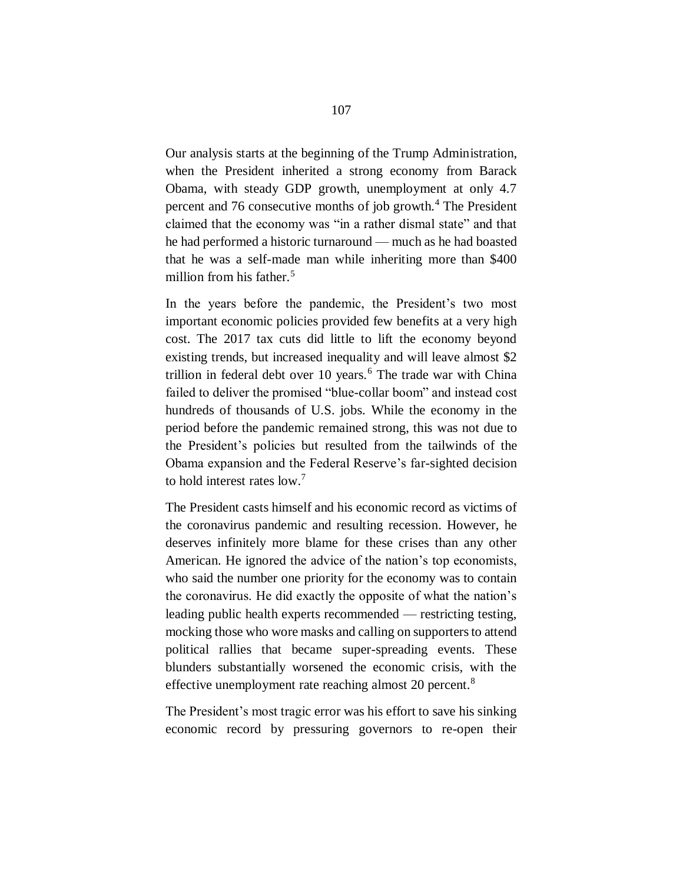Our analysis starts at the beginning of the Trump Administration, when the President inherited a strong economy from Barack Obama, with steady GDP growth, unemployment at only 4.7 percent and 76 consecutive months of job growth.<sup>4</sup> The President claimed that the economy was "in a rather dismal state" and that he had performed a historic turnaround — much as he had boasted that he was a self-made man while inheriting more than \$400 million from his father.<sup>5</sup>

In the years before the pandemic, the President's two most important economic policies provided few benefits at a very high cost. The 2017 tax cuts did little to lift the economy beyond existing trends, but increased inequality and will leave almost \$2 trillion in federal debt over 10 years.<sup>6</sup> The trade war with China failed to deliver the promised "blue-collar boom" and instead cost hundreds of thousands of U.S. jobs. While the economy in the period before the pandemic remained strong, this was not due to the President's policies but resulted from the tailwinds of the Obama expansion and the Federal Reserve's far-sighted decision to hold interest rates low.<sup>7</sup>

The President casts himself and his economic record as victims of the coronavirus pandemic and resulting recession. However, he deserves infinitely more blame for these crises than any other American. He ignored the advice of the nation's top economists, who said the number one priority for the economy was to contain the coronavirus. He did exactly the opposite of what the nation's leading public health experts recommended — restricting testing, mocking those who wore masks and calling on supporters to attend political rallies that became super-spreading events. These blunders substantially worsened the economic crisis, with the effective unemployment rate reaching almost 20 percent.<sup>8</sup>

The President's most tragic error was his effort to save his sinking economic record by pressuring governors to re-open their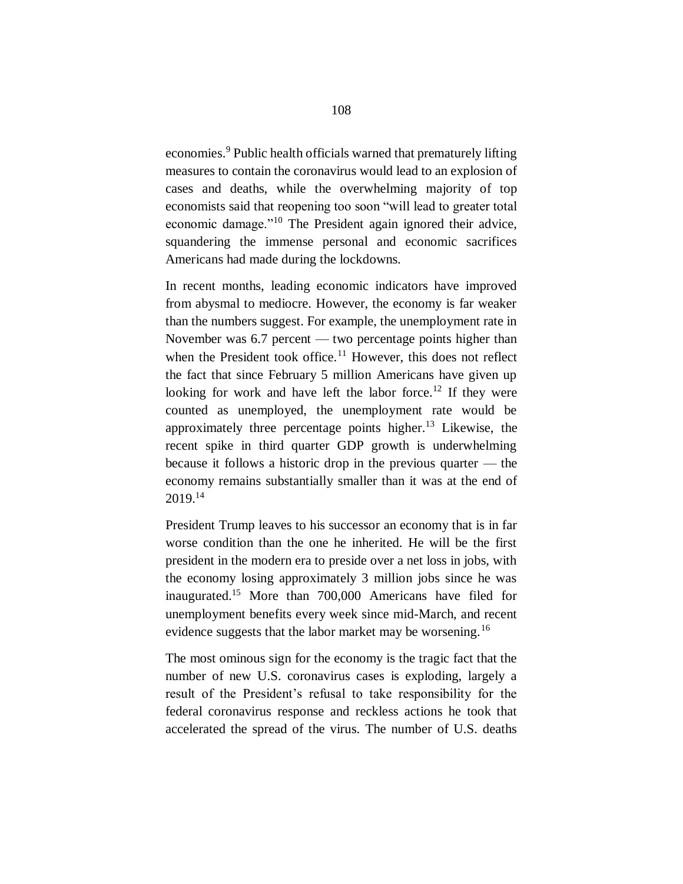economies.<sup>9</sup> Public health officials warned that prematurely lifting measures to contain the coronavirus would lead to an explosion of cases and deaths, while the overwhelming majority of top economists said that reopening too soon "will lead to greater total economic damage."<sup>10</sup> The President again ignored their advice, squandering the immense personal and economic sacrifices Americans had made during the lockdowns.

In recent months, leading economic indicators have improved from abysmal to mediocre. However, the economy is far weaker than the numbers suggest. For example, the unemployment rate in November was 6.7 percent — two percentage points higher than when the President took office. $11$  However, this does not reflect the fact that since February 5 million Americans have given up looking for work and have left the labor force.<sup>12</sup> If they were counted as unemployed, the unemployment rate would be approximately three percentage points higher.<sup>13</sup> Likewise, the recent spike in third quarter GDP growth is underwhelming because it follows a historic drop in the previous quarter — the economy remains substantially smaller than it was at the end of 2019.<sup>14</sup>

President Trump leaves to his successor an economy that is in far worse condition than the one he inherited. He will be the first president in the modern era to preside over a net loss in jobs, with the economy losing approximately 3 million jobs since he was inaugurated.<sup>15</sup> More than 700,000 Americans have filed for unemployment benefits every week since mid-March, and recent evidence suggests that the labor market may be worsening.<sup>16</sup>

The most ominous sign for the economy is the tragic fact that the number of new U.S. coronavirus cases is exploding, largely a result of the President's refusal to take responsibility for the federal coronavirus response and reckless actions he took that accelerated the spread of the virus. The number of U.S. deaths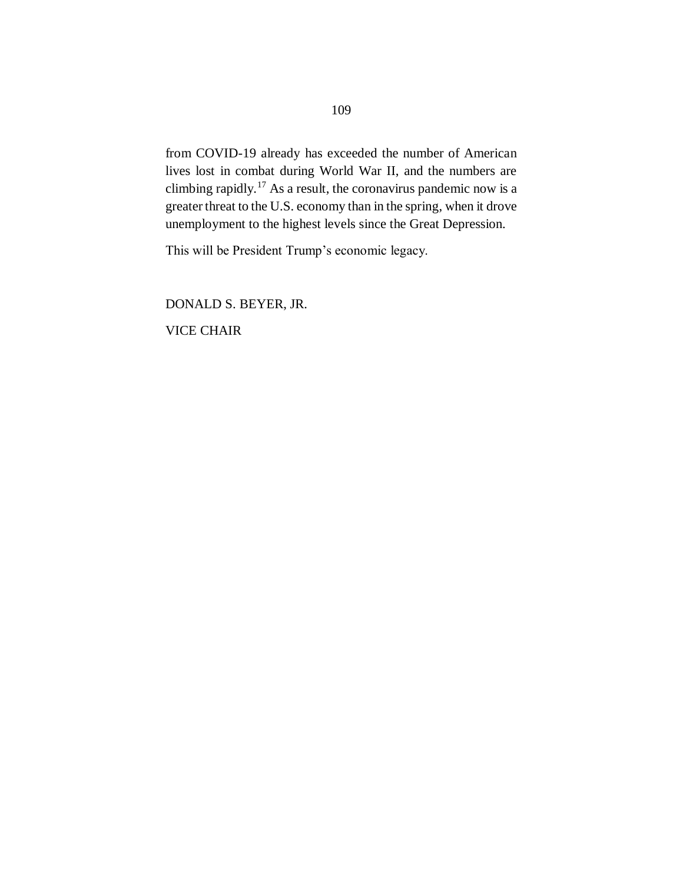from COVID-19 already has exceeded the number of American lives lost in combat during World War II, and the numbers are climbing rapidly.<sup>17</sup> As a result, the coronavirus pandemic now is a greater threat to the U.S. economy than in the spring, when it drove unemployment to the highest levels since the Great Depression.

This will be President Trump's economic legacy.

DONALD S. BEYER, JR. VICE CHAIR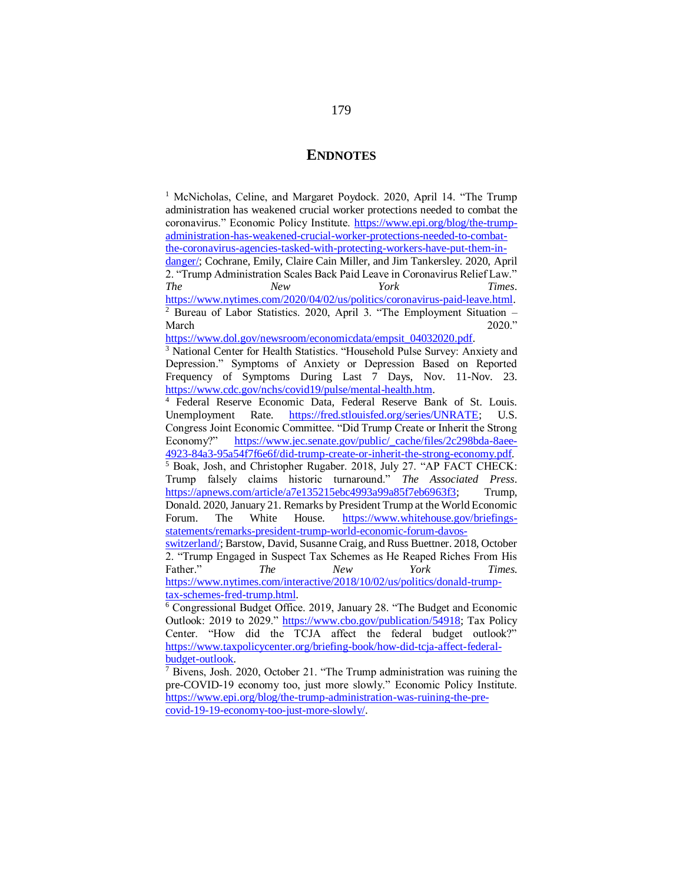## **ENDNOTES**

<sup>1</sup> McNicholas, Celine, and Margaret Poydock. 2020, April 14. "The Trump administration has weakened crucial worker protections needed to combat the coronavirus." Economic Policy Institute. [https://www.epi.org/blog/the-trump](https://www.epi.org/blog/the-trump-administration-has-weakened-crucial-worker-protections-needed-to-combat-the-coronavirus-agencies-tasked-with-protecting-workers-have-put-them-in-danger/)[administration-has-weakened-crucial-worker-protections-needed-to-combat](https://www.epi.org/blog/the-trump-administration-has-weakened-crucial-worker-protections-needed-to-combat-the-coronavirus-agencies-tasked-with-protecting-workers-have-put-them-in-danger/)[the-coronavirus-agencies-tasked-with-protecting-workers-have-put-them-in-](https://www.epi.org/blog/the-trump-administration-has-weakened-crucial-worker-protections-needed-to-combat-the-coronavirus-agencies-tasked-with-protecting-workers-have-put-them-in-danger/)

[danger/;](https://www.epi.org/blog/the-trump-administration-has-weakened-crucial-worker-protections-needed-to-combat-the-coronavirus-agencies-tasked-with-protecting-workers-have-put-them-in-danger/) Cochrane, Emily, Claire Cain Miller, and Jim Tankersley. 2020, April 2. "Trump Administration Scales Back Paid Leave in Coronavirus Relief Law." *The New York Times*. [https://www.nytimes.com/2020/04/02/us/politics/coronavirus-paid-leave.html.](https://www.nytimes.com/2020/04/02/us/politics/coronavirus-paid-leave.html) <sup>2</sup> Bureau of Labor Statistics. 2020, April 3. "The Employment Situation –

March 2020." [https://www.dol.gov/newsroom/economicdata/empsit\\_04032020.pdf.](https://www.dol.gov/newsroom/economicdata/empsit_04032020.pdf)

<sup>3</sup> National Center for Health Statistics. "Household Pulse Survey: Anxiety and Depression." Symptoms of Anxiety or Depression Based on Reported Frequency of Symptoms During Last 7 Days, Nov. 11-Nov. 23. [https://www.cdc.gov/nchs/covid19/pulse/mental-health.htm.](https://www.cdc.gov/nchs/covid19/pulse/mental-health.htm)

<sup>4</sup> Federal Reserve Economic Data, Federal Reserve Bank of St. Louis. Unemployment Rate. [https://fred.stlouisfed.org/series/UNRATE;](https://fred.stlouisfed.org/series/UNRATE) U.S. Congress Joint Economic Committee. "Did Trump Create or Inherit the Strong Economy?" [https://www.jec.senate.gov/public/\\_cache/files/2c298bda-8aee-](https://www.jec.senate.gov/public/_cache/files/2c298bda-8aee-4923-84a3-95a54f7f6e6f/did-trump-create-or-inherit-the-strong-economy.pdf)[4923-84a3-95a54f7f6e6f/did-trump-create-or-inherit-the-strong-economy.pdf.](https://www.jec.senate.gov/public/_cache/files/2c298bda-8aee-4923-84a3-95a54f7f6e6f/did-trump-create-or-inherit-the-strong-economy.pdf) <sup>5</sup> Boak, Josh, and Christopher Rugaber. 2018, July 27. "AP FACT CHECK: Trump falsely claims historic turnaround." *The Associated Press*. [https://apnews.com/article/a7e135215ebc4993a99a85f7eb6963f3;](https://apnews.com/article/a7e135215ebc4993a99a85f7eb6963f3) Trump, Donald. 2020, January 21. Remarks by President Trump at the World Economic Forum. The White House. [https://www.whitehouse.gov/briefings-](https://www.whitehouse.gov/briefings-statements/remarks-president-trump-world-economic-forum-davos-switzerland/)

[statements/remarks-president-trump-world-economic-forum-davos](https://www.whitehouse.gov/briefings-statements/remarks-president-trump-world-economic-forum-davos-switzerland/)[switzerland/;](https://www.whitehouse.gov/briefings-statements/remarks-president-trump-world-economic-forum-davos-switzerland/) Barstow, David, Susanne Craig, and Russ Buettner. 2018, October 2. "Trump Engaged in Suspect Tax Schemes as He Reaped Riches From His Father." *The New York Times.* [https://www.nytimes.com/interactive/2018/10/02/us/politics/donald-trump](https://www.nytimes.com/interactive/2018/10/02/us/politics/donald-trump-tax-schemes-fred-trump.html)[tax-schemes-fred-trump.html.](https://www.nytimes.com/interactive/2018/10/02/us/politics/donald-trump-tax-schemes-fred-trump.html)

<sup>6</sup> Congressional Budget Office. 2019, January 28. "The Budget and Economic Outlook: 2019 to 2029." [https://www.cbo.gov/publication/54918;](https://www.cbo.gov/publication/54918) Tax Policy Center. "How did the TCJA affect the federal budget outlook?" [https://www.taxpolicycenter.org/briefing-book/how-did-tcja-affect-federal](https://www.taxpolicycenter.org/briefing-book/how-did-tcja-affect-federal-budget-outlook)[budget-outlook.](https://www.taxpolicycenter.org/briefing-book/how-did-tcja-affect-federal-budget-outlook)

 $\frac{7}{7}$  Bivens. Josh. 2020, October 21. "The Trump administration was ruining the pre-COVID-19 economy too, just more slowly." Economic Policy Institute. [https://www.epi.org/blog/the-trump-administration-was-ruining-the-pre](https://www.epi.org/blog/the-trump-administration-was-ruining-the-pre-covid-19-19-economy-too-just-more-slowly/)[covid-19-19-economy-too-just-more-slowly/.](https://www.epi.org/blog/the-trump-administration-was-ruining-the-pre-covid-19-19-economy-too-just-more-slowly/)